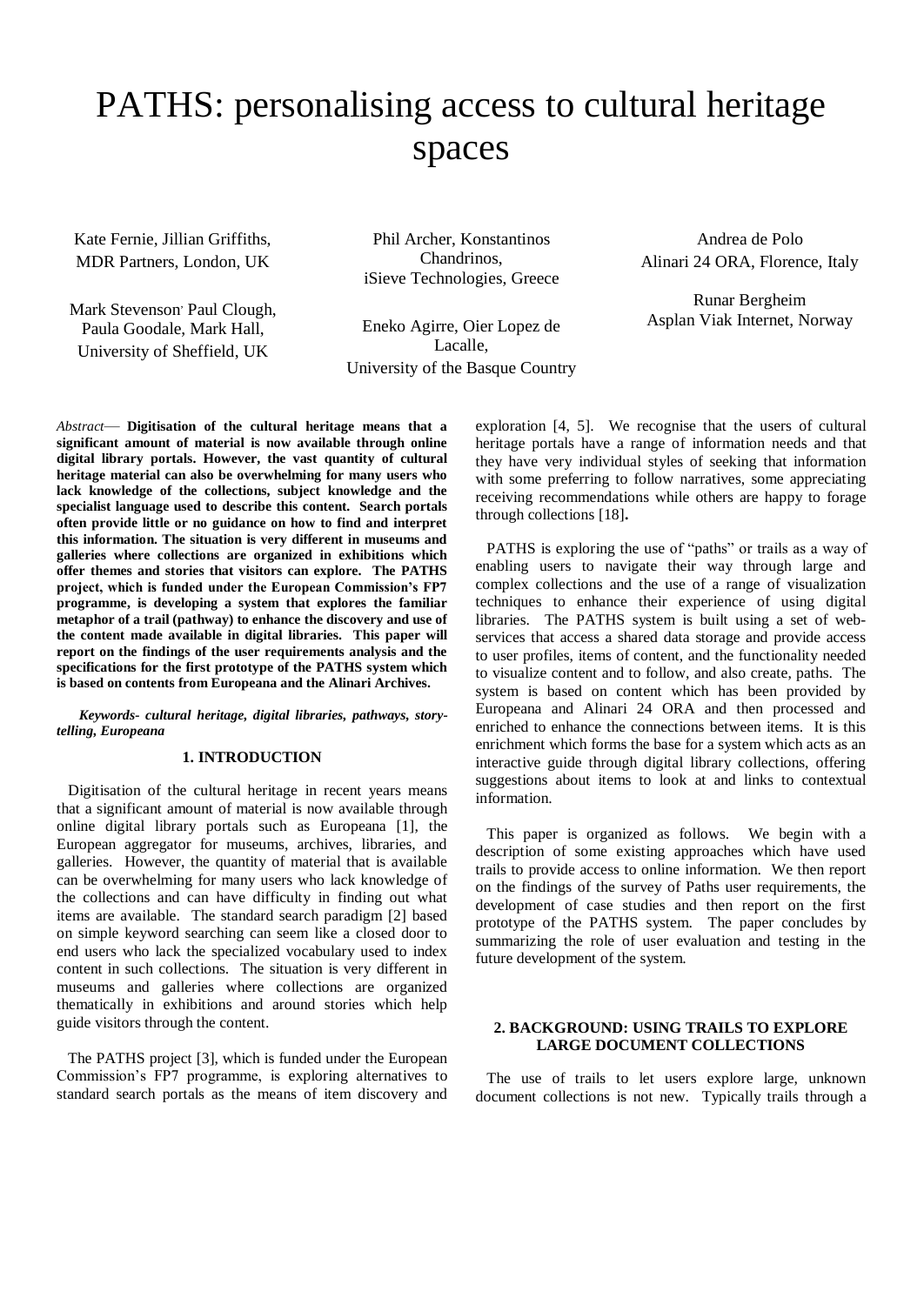# PATHS: personalising access to cultural heritage spaces

Kate Fernie, Jillian Griffiths, MDR Partners, London, UK

Mark Stevenson' Paul Clough, Paula Goodale, Mark Hall, University of Sheffield, UK

Phil Archer, Konstantinos Chandrinos, iSieve Technologies, Greece

Andrea de Polo Alinari 24 ORA, Florence, Italy

Runar Bergheim Asplan Viak Internet, Norway

Eneko Agirre, Oier Lopez de Lacalle, University of the Basque Country

*Abstract*— **Digitisation of the cultural heritage means that a significant amount of material is now available through online digital library portals. However, the vast quantity of cultural heritage material can also be overwhelming for many users who lack knowledge of the collections, subject knowledge and the specialist language used to describe this content. Search portals often provide little or no guidance on how to find and interpret this information. The situation is very different in museums and galleries where collections are organized in exhibitions which offer themes and stories that visitors can explore. The PATHS project, which is funded under the European Commission's FP7 programme, is developing a system that explores the familiar metaphor of a trail (pathway) to enhance the discovery and use of the content made available in digital libraries. This paper will report on the findings of the user requirements analysis and the specifications for the first prototype of the PATHS system which is based on contents from Europeana and the Alinari Archives.** 

*Keywords- cultural heritage, digital libraries, pathways, storytelling, Europeana*

# **1. INTRODUCTION**

Digitisation of the cultural heritage in recent years means that a significant amount of material is now available through online digital library portals such as Europeana [1], the European aggregator for museums, archives, libraries, and galleries. However, the quantity of material that is available can be overwhelming for many users who lack knowledge of the collections and can have difficulty in finding out what items are available. The standard search paradigm [2] based on simple keyword searching can seem like a closed door to end users who lack the specialized vocabulary used to index content in such collections. The situation is very different in museums and galleries where collections are organized thematically in exhibitions and around stories which help guide visitors through the content.

The PATHS project [3], which is funded under the European Commission's FP7 programme, is exploring alternatives to standard search portals as the means of item discovery and exploration [4, 5]. We recognise that the users of cultural heritage portals have a range of information needs and that they have very individual styles of seeking that information with some preferring to follow narratives, some appreciating receiving recommendations while others are happy to forage through collections [18]**.**

PATHS is exploring the use of "paths" or trails as a way of enabling users to navigate their way through large and complex collections and the use of a range of visualization techniques to enhance their experience of using digital libraries. The PATHS system is built using a set of webservices that access a shared data storage and provide access to user profiles, items of content, and the functionality needed to visualize content and to follow, and also create, paths. The system is based on content which has been provided by Europeana and Alinari 24 ORA and then processed and enriched to enhance the connections between items. It is this enrichment which forms the base for a system which acts as an interactive guide through digital library collections, offering suggestions about items to look at and links to contextual information.

This paper is organized as follows. We begin with a description of some existing approaches which have used trails to provide access to online information. We then report on the findings of the survey of Paths user requirements, the development of case studies and then report on the first prototype of the PATHS system. The paper concludes by summarizing the role of user evaluation and testing in the future development of the system.

### **2. BACKGROUND: USING TRAILS TO EXPLORE LARGE DOCUMENT COLLECTIONS**

The use of trails to let users explore large, unknown document collections is not new. Typically trails through a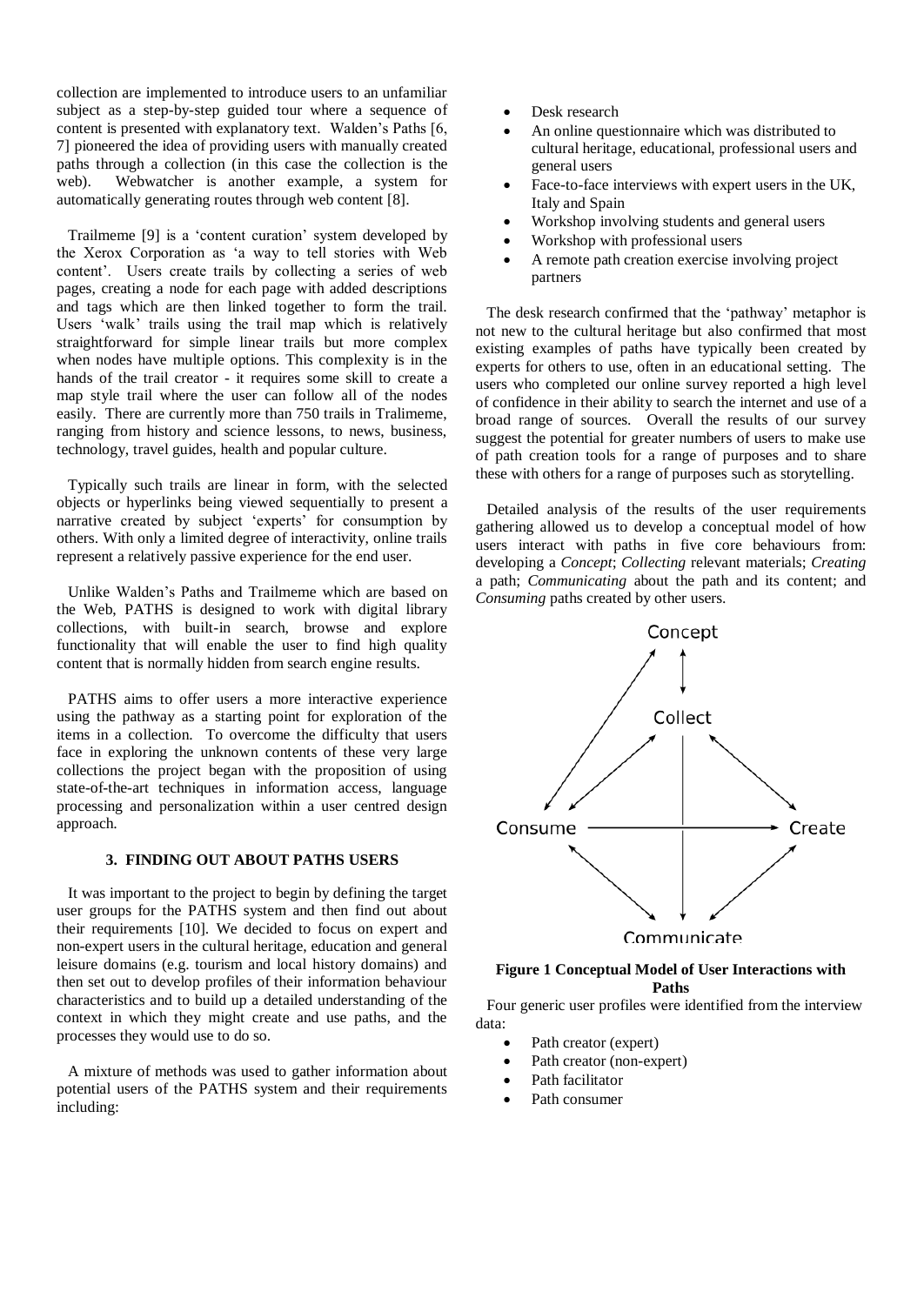collection are implemented to introduce users to an unfamiliar subject as a step-by-step guided tour where a sequence of content is presented with explanatory text. Walden's Paths [6, 7] pioneered the idea of providing users with manually created paths through a collection (in this case the collection is the web). Webwatcher is another example, a system for automatically generating routes through web content [8].

Trailmeme [9] is a 'content curation' system developed by the Xerox Corporation as 'a way to tell stories with Web content'. Users create trails by collecting a series of web pages, creating a node for each page with added descriptions and tags which are then linked together to form the trail. Users 'walk' trails using the trail map which is relatively straightforward for simple linear trails but more complex when nodes have multiple options. This complexity is in the hands of the trail creator - it requires some skill to create a map style trail where the user can follow all of the nodes easily. There are currently more than 750 trails in Tralimeme, ranging from history and science lessons, to news, business, technology, travel guides, health and popular culture.

Typically such trails are linear in form, with the selected objects or hyperlinks being viewed sequentially to present a narrative created by subject 'experts' for consumption by others. With only a limited degree of interactivity, online trails represent a relatively passive experience for the end user.

Unlike Walden's Paths and Trailmeme which are based on the Web, PATHS is designed to work with digital library collections, with built-in search, browse and explore functionality that will enable the user to find high quality content that is normally hidden from search engine results.

PATHS aims to offer users a more interactive experience using the pathway as a starting point for exploration of the items in a collection. To overcome the difficulty that users face in exploring the unknown contents of these very large collections the project began with the proposition of using state-of-the-art techniques in information access, language processing and personalization within a user centred design approach.

# **3. FINDING OUT ABOUT PATHS USERS**

It was important to the project to begin by defining the target user groups for the PATHS system and then find out about their requirements [10]. We decided to focus on expert and non-expert users in the cultural heritage, education and general leisure domains (e.g. tourism and local history domains) and then set out to develop profiles of their information behaviour characteristics and to build up a detailed understanding of the context in which they might create and use paths, and the processes they would use to do so.

A mixture of methods was used to gather information about potential users of the PATHS system and their requirements including:

- Desk research
- An online questionnaire which was distributed to cultural heritage, educational, professional users and general users
- Face-to-face interviews with expert users in the UK, Italy and Spain
- Workshop involving students and general users
- Workshop with professional users
- A remote path creation exercise involving project partners

The desk research confirmed that the 'pathway' metaphor is not new to the cultural heritage but also confirmed that most existing examples of paths have typically been created by experts for others to use, often in an educational setting. The users who completed our online survey reported a high level of confidence in their ability to search the internet and use of a broad range of sources. Overall the results of our survey suggest the potential for greater numbers of users to make use of path creation tools for a range of purposes and to share these with others for a range of purposes such as storytelling.

Detailed analysis of the results of the user requirements gathering allowed us to develop a conceptual model of how users interact with paths in five core behaviours from: developing a *Concept*; *Collecting* relevant materials; *Creating* a path; *Communicating* about the path and its content; and *Consuming* paths created by other users.



### **Figure 1 Conceptual Model of User Interactions with Paths**

Four generic user profiles were identified from the interview data:

- Path creator (expert)
- Path creator (non-expert)
- Path facilitator
- Path consumer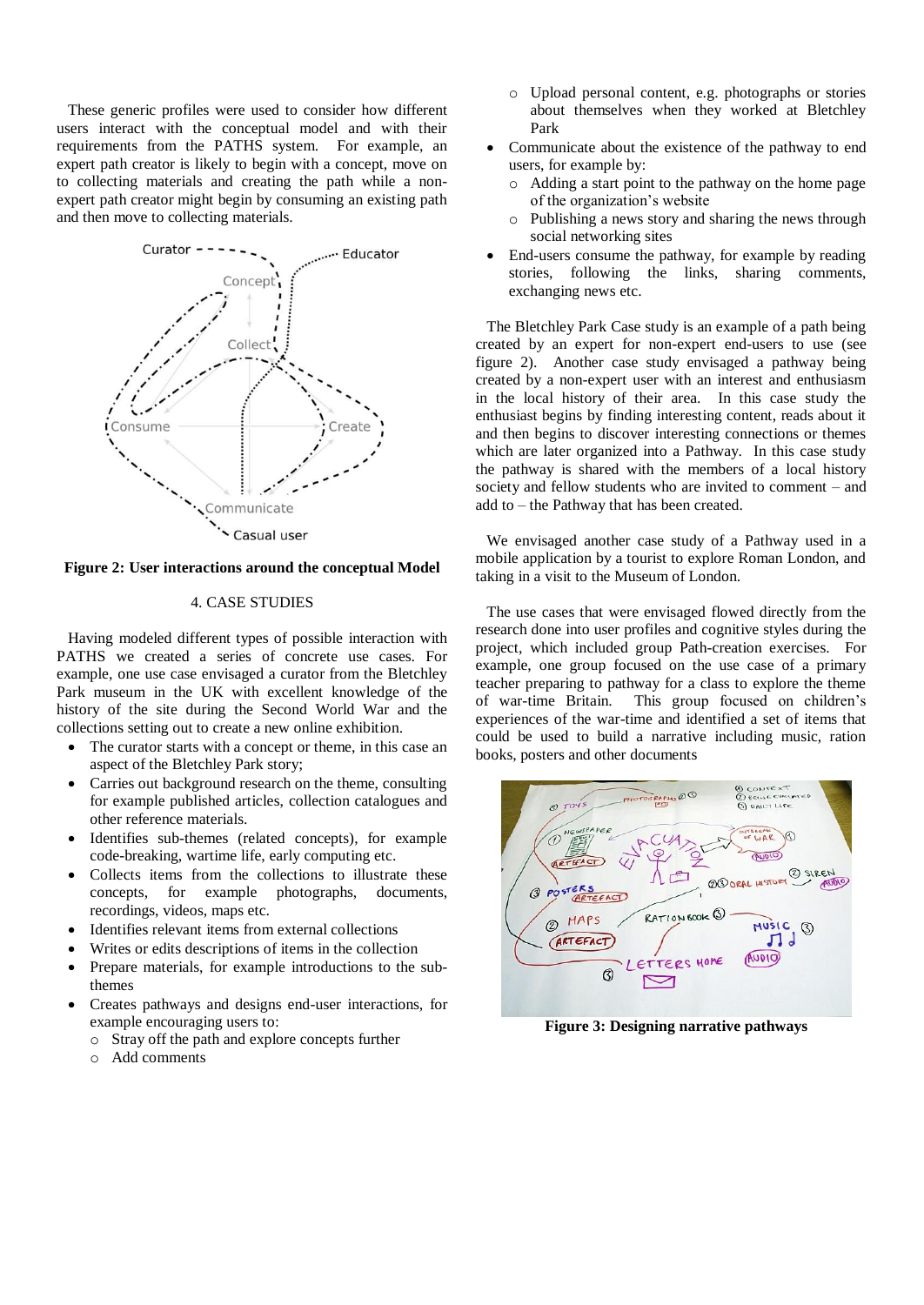These generic profiles were used to consider how different users interact with the conceptual model and with their requirements from the PATHS system. For example, an expert path creator is likely to begin with a concept, move on to collecting materials and creating the path while a nonexpert path creator might begin by consuming an existing path and then move to collecting materials.



### **Figure 2: User interactions around the conceptual Model**

# 4. CASE STUDIES

Having modeled different types of possible interaction with PATHS we created a series of concrete use cases. For example, one use case envisaged a curator from the Bletchley Park museum in the UK with excellent knowledge of the history of the site during the Second World War and the collections setting out to create a new online exhibition.

- The curator starts with a concept or theme, in this case an aspect of the Bletchley Park story;
- Carries out background research on the theme, consulting for example published articles, collection catalogues and other reference materials.
- Identifies sub-themes (related concepts), for example code-breaking, wartime life, early computing etc.
- Collects items from the collections to illustrate these concepts, for example photographs, documents, recordings, videos, maps etc.
- Identifies relevant items from external collections
- Writes or edits descriptions of items in the collection
- Prepare materials, for example introductions to the subthemes
- Creates pathways and designs end-user interactions, for example encouraging users to:
	- o Stray off the path and explore concepts further
	- o Add comments
- o Upload personal content, e.g. photographs or stories about themselves when they worked at Bletchley Park
- Communicate about the existence of the pathway to end users, for example by:
	- o Adding a start point to the pathway on the home page of the organization's website
	- o Publishing a news story and sharing the news through social networking sites
- End-users consume the pathway, for example by reading stories, following the links, sharing comments, exchanging news etc.

The Bletchley Park Case study is an example of a path being created by an expert for non-expert end-users to use (see figure 2). Another case study envisaged a pathway being created by a non-expert user with an interest and enthusiasm in the local history of their area. In this case study the enthusiast begins by finding interesting content, reads about it and then begins to discover interesting connections or themes which are later organized into a Pathway. In this case study the pathway is shared with the members of a local history society and fellow students who are invited to comment – and add to – the Pathway that has been created.

We envisaged another case study of a Pathway used in a mobile application by a tourist to explore Roman London, and taking in a visit to the Museum of London.

The use cases that were envisaged flowed directly from the research done into user profiles and cognitive styles during the project, which included group Path-creation exercises. For example, one group focused on the use case of a primary teacher preparing to pathway for a class to explore the theme of war-time Britain. This group focused on children's experiences of the war-time and identified a set of items that could be used to build a narrative including music, ration books, posters and other documents



**Figure 3: Designing narrative pathways**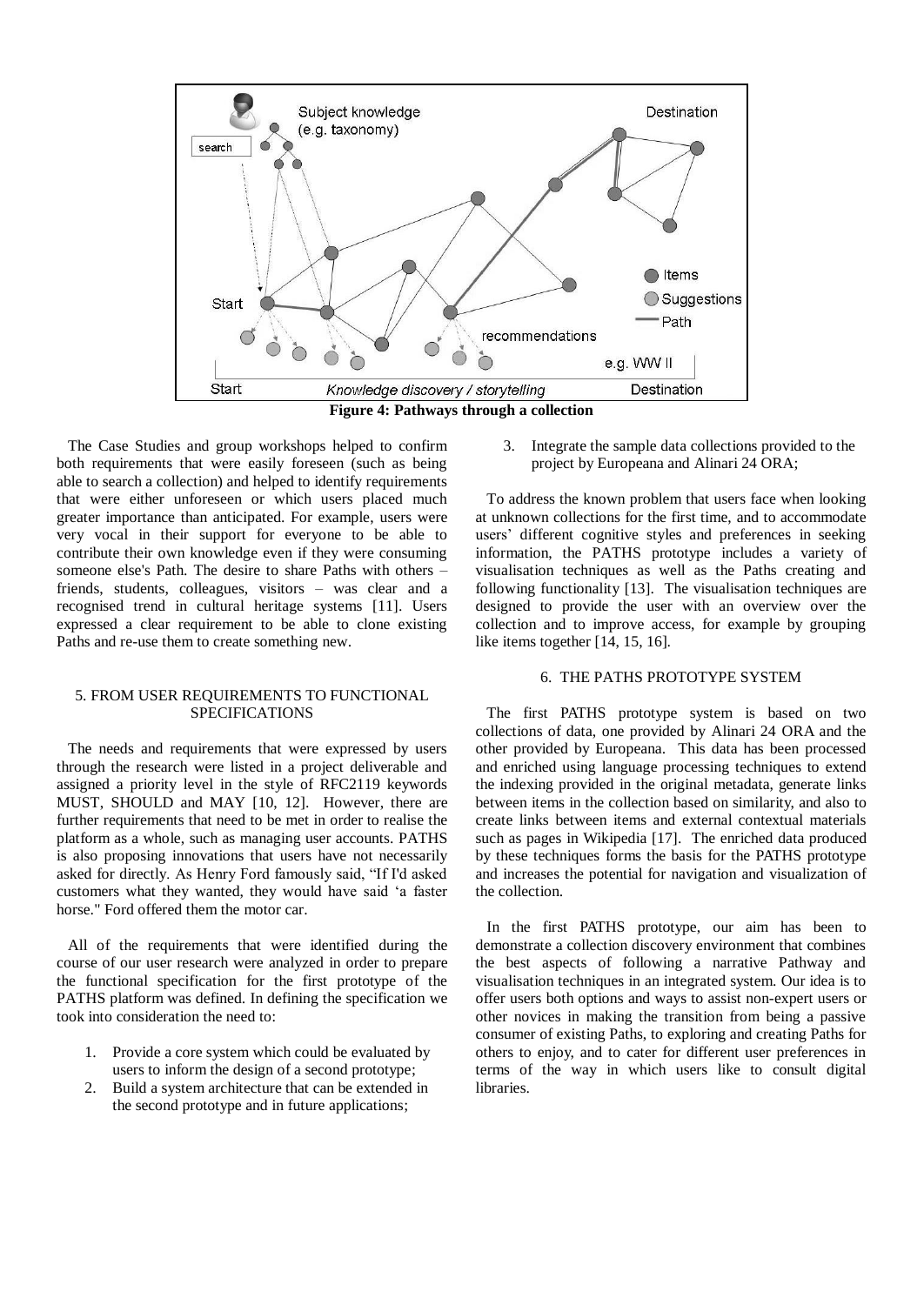

**Figure 4: Pathways through a collection**

The Case Studies and group workshops helped to confirm both requirements that were easily foreseen (such as being able to search a collection) and helped to identify requirements that were either unforeseen or which users placed much greater importance than anticipated. For example, users were very vocal in their support for everyone to be able to contribute their own knowledge even if they were consuming someone else's Path. The desire to share Paths with others – friends, students, colleagues, visitors – was clear and a recognised trend in cultural heritage systems [11]. Users expressed a clear requirement to be able to clone existing Paths and re-use them to create something new.

# 5. FROM USER REQUIREMENTS TO FUNCTIONAL SPECIFICATIONS

The needs and requirements that were expressed by users through the research were listed in a project deliverable and assigned a priority level in the style of RFC2119 keywords MUST, SHOULD and MAY [10, 12]. However, there are further requirements that need to be met in order to realise the platform as a whole, such as managing user accounts. PATHS is also proposing innovations that users have not necessarily asked for directly. As Henry Ford famously said, "If I'd asked customers what they wanted, they would have said 'a faster horse." Ford offered them the motor car.

All of the requirements that were identified during the course of our user research were analyzed in order to prepare the functional specification for the first prototype of the PATHS platform was defined. In defining the specification we took into consideration the need to:

- 1. Provide a core system which could be evaluated by users to inform the design of a second prototype;
- 2. Build a system architecture that can be extended in the second prototype and in future applications;

3. Integrate the sample data collections provided to the project by Europeana and Alinari 24 ORA;

To address the known problem that users face when looking at unknown collections for the first time, and to accommodate users' different cognitive styles and preferences in seeking information, the PATHS prototype includes a variety of visualisation techniques as well as the Paths creating and following functionality [13]. The visualisation techniques are designed to provide the user with an overview over the collection and to improve access, for example by grouping like items together [14, 15, 16].

#### 6. THE PATHS PROTOTYPE SYSTEM

The first PATHS prototype system is based on two collections of data, one provided by Alinari 24 ORA and the other provided by Europeana. This data has been processed and enriched using language processing techniques to extend the indexing provided in the original metadata, generate links between items in the collection based on similarity, and also to create links between items and external contextual materials such as pages in Wikipedia [17]. The enriched data produced by these techniques forms the basis for the PATHS prototype and increases the potential for navigation and visualization of the collection.

In the first PATHS prototype, our aim has been to demonstrate a collection discovery environment that combines the best aspects of following a narrative Pathway and visualisation techniques in an integrated system. Our idea is to offer users both options and ways to assist non-expert users or other novices in making the transition from being a passive consumer of existing Paths, to exploring and creating Paths for others to enjoy, and to cater for different user preferences in terms of the way in which users like to consult digital libraries.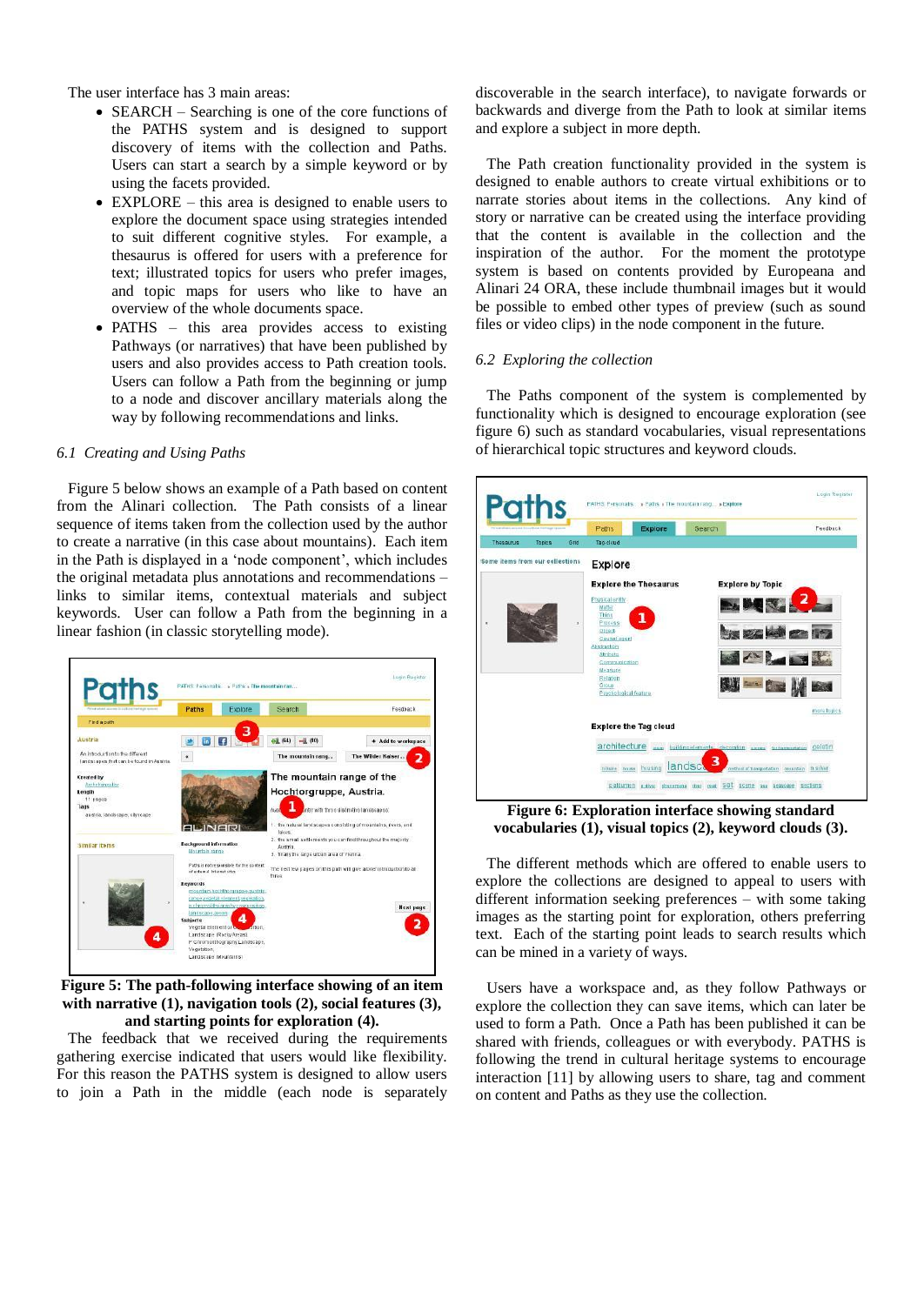The user interface has 3 main areas:

- SEARCH Searching is one of the core functions of the PATHS system and is designed to support discovery of items with the collection and Paths. Users can start a search by a simple keyword or by using the facets provided.
- EXPLORE this area is designed to enable users to explore the document space using strategies intended to suit different cognitive styles. For example, a thesaurus is offered for users with a preference for text; illustrated topics for users who prefer images, and topic maps for users who like to have an overview of the whole documents space.
- PATHS this area provides access to existing Pathways (or narratives) that have been published by users and also provides access to Path creation tools. Users can follow a Path from the beginning or jump to a node and discover ancillary materials along the way by following recommendations and links.

# *6.1 Creating and Using Paths*

Figure 5 below shows an example of a Path based on content from the Alinari collection. The Path consists of a linear sequence of items taken from the collection used by the author to create a narrative (in this case about mountains). Each item in the Path is displayed in a 'node component', which includes the original metadata plus annotations and recommendations – links to similar items, contextual materials and subject keywords. User can follow a Path from the beginning in a linear fashion (in classic storytelling mode).



**Figure 5: The path-following interface showing of an item**  with narrative (1), navigation tools (2), social features (3), **and starting points for exploration (4).**

The feedback that we received during the requirements gathering exercise indicated that users would like flexibility. For this reason the PATHS system is designed to allow users to join a Path in the middle (each node is separately

discoverable in the search interface), to navigate forwards or backwards and diverge from the Path to look at similar items and explore a subject in more depth.

The Path creation functionality provided in the system is designed to enable authors to create virtual exhibitions or to narrate stories about items in the collections. Any kind of story or narrative can be created using the interface providing that the content is available in the collection and the inspiration of the author. For the moment the prototype system is based on contents provided by Europeana and Alinari 24 ORA, these include thumbnail images but it would be possible to embed other types of preview (such as sound files or video clips) in the node component in the future.

#### *6.2 Exploring the collection*

The Paths component of the system is complemented by functionality which is designed to encourage exploration (see figure 6) such as standard vocabularies, visual representations of hierarchical topic structures and keyword clouds.



**Figure 6: Exploration interface showing standard vocabularies (1), visual topics (2), keyword clouds (3).**

The different methods which are offered to enable users to explore the collections are designed to appeal to users with different information seeking preferences – with some taking images as the starting point for exploration, others preferring text. Each of the starting point leads to search results which can be mined in a variety of ways.

Users have a workspace and, as they follow Pathways or explore the collection they can save items, which can later be used to form a Path. Once a Path has been published it can be shared with friends, colleagues or with everybody. PATHS is following the trend in cultural heritage systems to encourage interaction [11] by allowing users to share, tag and comment on content and Paths as they use the collection.